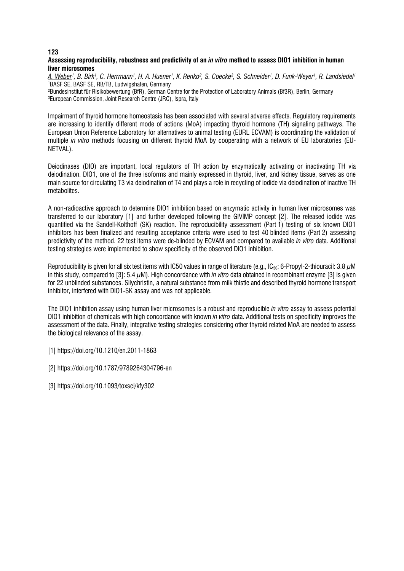# **Assessing reproducibility, robustness and predictivity of an** *in vitro* **method to assess DIO1 inhibition in human liver microsomes**

*A. Weber1 , B. Birk1 , C. Herrmann1 , H. A. Huener1 , K. Renko2 , S. Coecke3 , S. Schneider1 , D. Funk-Weyer1 , R. Landsiedel1* 1 BASF SE, BASF SE, RB/TB, Ludwigshafen, Germany

2 Bundesinstitut für Risikobewertung (BfR), German Centre for the Protection of Laboratory Animals (Bf3R), Berlin, Germany 3 European Commission, Joint Research Centre (JRC), Ispra, Italy

Impairment of thyroid hormone homeostasis has been associated with several adverse effects. Regulatory requirements are increasing to identify different mode of actions (MoA) impacting thyroid hormone (TH) signaling pathways. The European Union Reference Laboratory for alternatives to animal testing (EURL ECVAM) is coordinating the validation of multiple *in vitro* methods focusing on different thyroid MoA by cooperating with a network of EU laboratories (EU-NETVAL).

Deiodinases (DIO) are important, local regulators of TH action by enzymatically activating or inactivating TH via deiodination. DIO1, one of the three isoforms and mainly expressed in thyroid, liver, and kidney tissue, serves as one main source for circulating T3 via deiodination of T4 and plays a role in recycling of iodide via deiodination of inactive TH metabolites.

A non-radioactive approach to determine DIO1 inhibition based on enzymatic activity in human liver microsomes was transferred to our laboratory [1] and further developed following the GIVIMP concept [2]. The released iodide was quantified via the Sandell-Kolthoff (SK) reaction. The reproducibility assessment (Part 1) testing of six known DIO1 inhibitors has been finalized and resulting acceptance criteria were used to test 40 blinded items (Part 2) assessing predictivity of the method. 22 test items were de-blinded by ECVAM and compared to available *in vitro* data. Additional testing strategies were implemented to show specificity of the observed DIO1 inhibition.

Reproducibility is given for all six test items with IC50 values in range of literature (e.g., IC<sub>50</sub>: 6-Propyl-2-thiouracil: 3.8  $\mu$ M in this study, compared to [3]: 5.4 µM). High concordance with *in vitro* data obtained in recombinant enzyme [3] is given for 22 unblinded substances. Silychristin, a natural substance from milk thistle and described thyroid hormone transport inhibitor, interfered with DIO1-SK assay and was not applicable.

The DIO1 inhibition assay using human liver microsomes is a robust and reproducible *in vitro* assay to assess potential DIO1 inhibition of chemicals with high concordance with known *in vitro* data. Additional tests on specificity improves the assessment of the data. Finally, integrative testing strategies considering other thyroid related MoA are needed to assess the biological relevance of the assay.

[1] https://doi.org/10.1210/en.2011-1863

[2] https://doi.org/10.1787/9789264304796-en

[3] https://doi.org/10.1093/toxsci/kfy302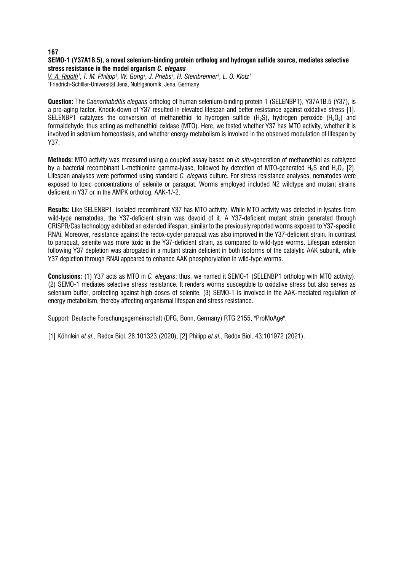# **SEMO-1 (Y37A1B.5), a novel selenium-binding protein ortholog and hydrogen sulfide source, mediates selective stress resistance in the model organism** *C. elegans*

*V. A. Ridolfi1 , T. M. Philipp1 , W. Gong1 , J. Priebs1 , H. Steinbrenner1 , L. O. Klotz1* 1 Friedrich-Schiller-Universität Jena, Nutrigenomik, Jena, Germany

**Question:** The *Caenorhabditis elegans* ortholog of human selenium-binding protein 1 (SELENBP1), Y37A1B.5 (Y37), is a pro-aging factor. Knock-down of Y37 resulted in elevated lifespan and better resistance against oxidative stress [1]. SELENBP1 catalyzes the conversion of methanethiol to hydrogen sulfide (H<sub>2</sub>S), hydrogen peroxide (H<sub>2</sub>O<sub>2</sub>) and formaldehyde, thus acting as methanethiol oxidase (MTO). Here, we tested whether Y37 has MTO activity, whether it is involved in selenium homeostasis, and whether energy metabolism is involved in the observed modulation of lifespan by Y37.

**Methods:** MTO activity was measured using a coupled assay based on *in situ*-generation of methanethiol as catalyzed by a bacterial recombinant L-methionine gamma-lyase, followed by detection of MTO-generated H<sub>2</sub>S and H<sub>2</sub>O<sub>2</sub> [2]. Lifespan analyses were performed using standard *C. elegans* culture. For stress resistance analyses, nematodes were exposed to toxic concentrations of selenite or paraquat. Worms employed included N2 wildtype and mutant strains deficient in Y37 or in the AMPK ortholog, AAK-1/-2.

**Results:** Like SELENBP1, isolated recombinant Y37 has MTO activity. While MTO activity was detected in lysates from wild-type nematodes, the Y37-deficient strain was devoid of it. A Y37-deficient mutant strain generated through CRISPR/Cas technology exhibited an extended lifespan, similar to the previously reported worms exposed to Y37-specific RNAi. Moreover, resistance against the redox-cycler paraquat was also improved in the Y37-deficient strain. In contrast to paraquat, selenite was more toxic in the Y37-deficient strain, as compared to wild-type worms. Lifespan extension following Y37 depletion was abrogated in a mutant strain deficient in both isoforms of the catalytic AAK subunit, while Y37 depletion through RNAi appeared to enhance AAK phosphorylation in wild-type worms.

**Conclusions:** (1) Y37 acts as MTO in *C. elegans*; thus, we named it SEMO-1 (SELENBP1 ortholog with MTO activity). (2) SEMO-1 mediates selective stress resistance. It renders worms susceptible to oxidative stress but also serves as selenium buffer, protecting against high doses of selenite. (3) SEMO-1 is involved in the AAK-mediated regulation of energy metabolism, thereby affecting organismal lifespan and stress resistance.

Support: Deutsche Forschungsgemeinschaft (DFG, Bonn, Germany) RTG 2155, "ProMoAge".

[1] Köhnlein *et al.*, Redox Biol. 28:101323 (2020), [2] Philipp *et al.*, Redox Biol. 43:101972 (2021).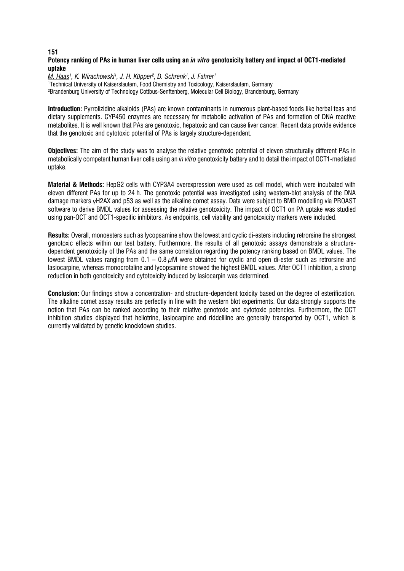# **Potency ranking of PAs in human liver cells using an** *in vitro* **genotoxicity battery and impact of OCT1-mediated uptake**

*M. Haas1 , K. Wirachowski1 , J. H. Küpper2 , D. Schrenk1 , J. Fahrer1* 1 Technical University of Kaiserslautern, Food Chemistry and Toxicology, Kaiserslautern, Germany 2 Brandenburg University of Technology Cottbus-Senftenberg, Molecular Cell Biology, Brandenburg, Germany

**Introduction:** Pyrrolizidine alkaloids (PAs) are known contaminants in numerous plant-based foods like herbal teas and dietary supplements. CYP450 enzymes are necessary for metabolic activation of PAs and formation of DNA reactive metabolites. It is well known that PAs are genotoxic, hepatoxic and can cause liver cancer. Recent data provide evidence that the genotoxic and cytotoxic potential of PAs is largely structure-dependent.

**Objectives:** The aim of the study was to analyse the relative genotoxic potential of eleven structurally different PAs in metabolically competent human liver cells using an *in vitro* genotoxicity battery and to detail the impact of OCT1-mediated uptake.

**Material & Methods:** HepG2 cells with CYP3A4 overexpression were used as cell model, which were incubated with eleven different PAs for up to 24 h. The genotoxic potential was investigated using western-blot analysis of the DNA damage markers γH2AX and p53 as well as the alkaline comet assay. Data were subject to BMD modelling via PROAST software to derive BMDL values for assessing the relative genotoxicity. The impact of OCT1 on PA uptake was studied using pan-OCT and OCT1-specific inhibitors. As endpoints, cell viability and genotoxicity markers were included.

**Results:** Overall, monoesters such as lycopsamine show the lowest and cyclic di-esters including retrorsine the strongest genotoxic effects within our test battery. Furthermore, the results of all genotoxic assays demonstrate a structuredependent genotoxicity of the PAs and the same correlation regarding the potency ranking based on BMDL values. The lowest BMDL values ranging from  $0.1 - 0.8 \mu$ M were obtained for cyclic and open di-ester such as retrorsine and lasiocarpine, whereas monocrotaline and lycopsamine showed the highest BMDL values. After OCT1 inhibition, a strong reduction in both genotoxicity and cytotoxicity induced by lasiocarpin was determined.

**Conclusion:** Our findings show a concentration- and structure-dependent toxicity based on the degree of esterification. The alkaline comet assay results are perfectly in line with the western blot experiments. Our data strongly supports the notion that PAs can be ranked according to their relative genotoxic and cytotoxic potencies. Furthermore, the OCT inhibition studies displayed that heliotrine, lasiocarpine and riddelliine are generally transported by OCT1, which is currently validated by genetic knockdown studies.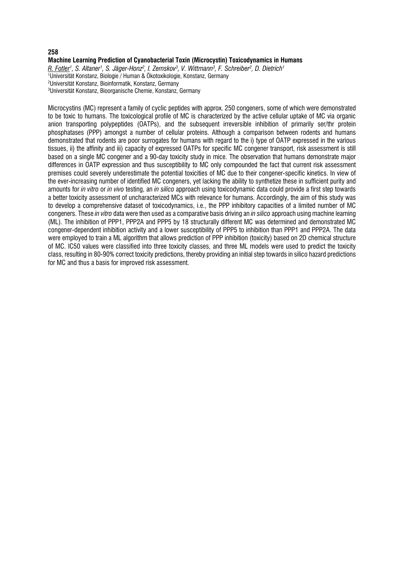#### **Machine Learning Prediction of Cyanobacterial Toxin (Microcystin) Toxicodynamics in Humans**

*R. Fotler1 , S. Altaner1 , S. Jäger-Honz2 , I. Zemskov3 , V. Wittmann3 , F. Schreiber2 , D. Dietrich1*

1 Universität Konstanz, Biologie / Human & Ökotoxikologie, Konstanz, Germany 2 Universität Konstanz, Bioinformatik, Konstanz, Germany 3 Universität Konstanz, Bioorganische Chemie, Konstanz, Germany

Microcystins (MC) represent a family of cyclic peptides with approx. 250 congeners, some of which were demonstrated to be toxic to humans. The toxicological profile of MC is characterized by the active cellular uptake of MC via organic anion transporting polypeptides (OATPs), and the subsequent irreversible inhibition of primarily ser/thr protein phosphatases (PPP) amongst a number of cellular proteins. Although a comparison between rodents and humans demonstrated that rodents are poor surrogates for humans with regard to the i) type of OATP expressed in the various tissues, ii) the affinity and iii) capacity of expressed OATPs for specific MC congener transport, risk assessment is still based on a single MC congener and a 90-day toxicity study in mice. The observation that humans demonstrate major differences in OATP expression and thus susceptibility to MC only compounded the fact that current risk assessment premises could severely underestimate the potential toxicities of MC due to their congener-specific kinetics. In view of the ever-increasing number of identified MC congeners, yet lacking the ability to synthetize these in sufficient purity and amounts for *in vitro* or *in vivo* testing, an *in silico* approach using toxicodynamic data could provide a first step towards a better toxicity assessment of uncharacterized MCs with relevance for humans. Accordingly, the aim of this study was to develop a comprehensive dataset of toxicodynamics, i.e., the PPP inhibitory capacities of a limited number of MC congeners. These *in vitro* data were then used as a comparative basis driving an *in silico* approach using machine learning (ML). The inhibition of PPP1, PPP2A and PPP5 by 18 structurally different MC was determined and demonstrated MC congener-dependent inhibition activity and a lower susceptibility of PPP5 to inhibition than PPP1 and PPP2A. The data were employed to train a ML algorithm that allows prediction of PPP inhibition (toxicity) based on 2D chemical structure of MC. IC50 values were classified into three toxicity classes, and three ML models were used to predict the toxicity class, resulting in 80-90% correct toxicity predictions, thereby providing an initial step towards in silico hazard predictions for MC and thus a basis for improved risk assessment.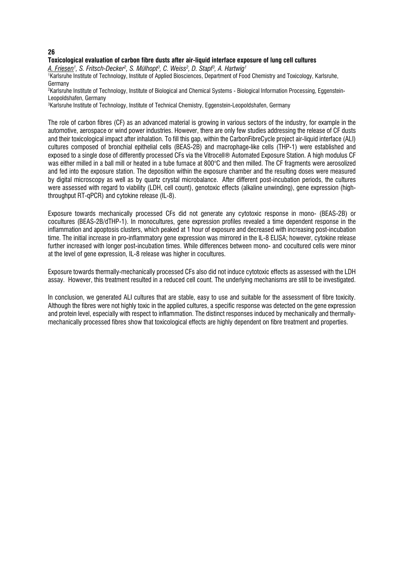# **Toxicological evaluation of carbon fibre dusts after air-liquid interface exposure of lung cell cultures**

*A. Friesen1 , S. Fritsch-Decker2 , S. Mülhopt3 , C. Weiss2 , D. Stapf3 , A. Hartwig1*

1 Karlsruhe Institute of Technology, Institute of Applied Biosciences, Department of Food Chemistry and Toxicology, Karlsruhe, Germany

2 Karlsruhe Institute of Technology, Institute of Biological and Chemical Systems - Biological Information Processing, Eggenstein-Leopoldshafen, Germany

3 Karlsruhe Institute of Technology, Institute of Technical Chemistry, Eggenstein-Leopoldshafen, Germany

The role of carbon fibres (CF) as an advanced material is growing in various sectors of the industry, for example in the automotive, aerospace or wind power industries. However, there are only few studies addressing the release of CF dusts and their toxicological impact after inhalation. To fill this gap, within the CarbonFibreCycle project air-liquid interface (ALI) cultures composed of bronchial epithelial cells (BEAS-2B) and macrophage-like cells (THP-1) were established and exposed to a single dose of differently processed CFs via the Vitrocell® Automated Exposure Station. A high modulus CF was either milled in a ball mill or heated in a tube furnace at 800°C and then milled. The CF fragments were aerosolized and fed into the exposure station. The deposition within the exposure chamber and the resulting doses were measured by digital microscopy as well as by quartz crystal microbalance. After different post-incubation periods, the cultures were assessed with regard to viability (LDH, cell count), genotoxic effects (alkaline unwinding), gene expression (highthroughput RT-qPCR) and cytokine release (IL-8).

Exposure towards mechanically processed CFs did not generate any cytotoxic response in mono- (BEAS-2B) or cocultures (BEAS-2B/dTHP-1). In monocultures, gene expression profiles revealed a time dependent response in the inflammation and apoptosis clusters, which peaked at 1 hour of exposure and decreased with increasing post-incubation time. The initial increase in pro-inflammatory gene expression was mirrored in the IL-8 ELISA; however, cytokine release further increased with longer post-incubation times. While differences between mono- and cocultured cells were minor at the level of gene expression, IL-8 release was higher in cocultures.

Exposure towards thermally-mechanically processed CFs also did not induce cytotoxic effects as assessed with the LDH assay. However, this treatment resulted in a reduced cell count. The underlying mechanisms are still to be investigated.

In conclusion, we generated ALI cultures that are stable, easy to use and suitable for the assessment of fibre toxicity. Although the fibres were not highly toxic in the applied cultures, a specific response was detected on the gene expression and protein level, especially with respect to inflammation. The distinct responses induced by mechanically and thermallymechanically processed fibres show that toxicological effects are highly dependent on fibre treatment and properties.